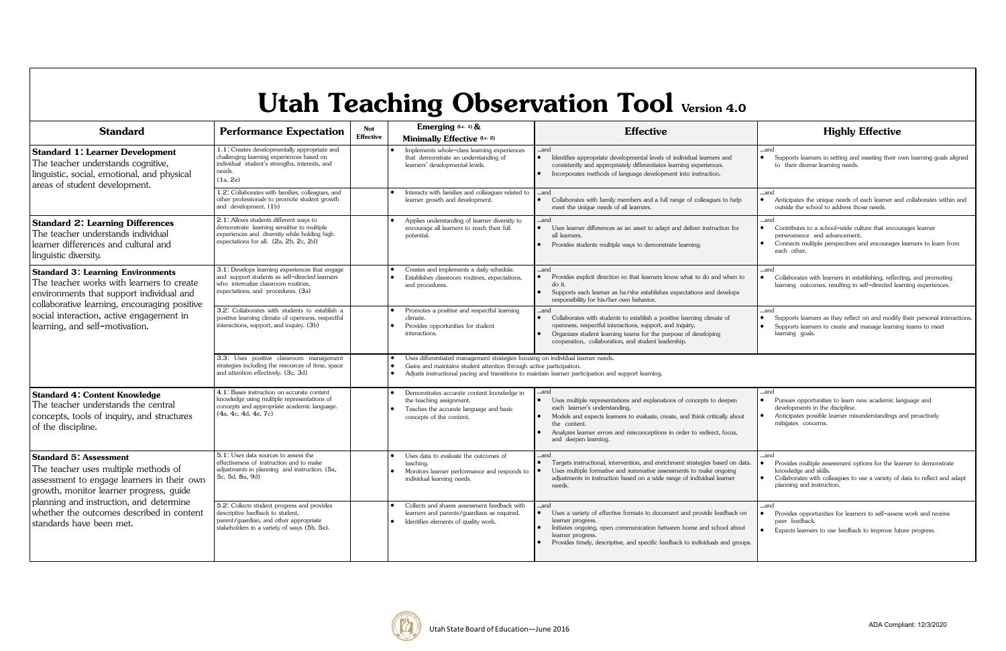## **Utah Teaching Observation Tool Version 4.0**

| <b>Standard</b>                                                                                                                                                                                                                                                                    | <b>Performance Expectation</b>                                                                                                                                                 | Not<br><b>Effective</b> | Emerging (Lv. 1) &<br>Minimally Effective (Lv. 2)                                                                                                                                                                                                              | <b>Effective</b>                                                                                                                                                                                                                                                                                               | <b>Highly Effective</b>                                                                                                                                                                                         |  |  |
|------------------------------------------------------------------------------------------------------------------------------------------------------------------------------------------------------------------------------------------------------------------------------------|--------------------------------------------------------------------------------------------------------------------------------------------------------------------------------|-------------------------|----------------------------------------------------------------------------------------------------------------------------------------------------------------------------------------------------------------------------------------------------------------|----------------------------------------------------------------------------------------------------------------------------------------------------------------------------------------------------------------------------------------------------------------------------------------------------------------|-----------------------------------------------------------------------------------------------------------------------------------------------------------------------------------------------------------------|--|--|
| <b>Standard 1: Learner Development</b><br>The teacher understands cognitive,<br>linguistic, social, emotional, and physical<br>areas of student development.                                                                                                                       | 1.1: Creates developmentally appropriate and<br>challenging learning experiences based on<br>individual student's strengths, interests, and<br>needs.<br>(1a, 2e)              |                         | Implements whole-class learning experiences<br>that demonstrate an understanding of<br>learners' developmental levels.                                                                                                                                         | and<br>$\bullet$<br>Identifies appropriate developmental levels of individual learners and<br>consistently and appropriately differentiates learning experiences.<br>Incorporates methods of language development into instruction.                                                                            | and<br>Supports learners in setting and meeting their own learning goals aligned<br>to their diverse learning needs.                                                                                            |  |  |
|                                                                                                                                                                                                                                                                                    | 1.2: Collaborates with families, colleagues, and<br>other professionals to promote student growth<br>and development. (1b)                                                     |                         | Interacts with families and colleagues related to<br>learner growth and development.                                                                                                                                                                           | and<br>Collaborates with family members and a full range of colleagues to help<br>meet the unique needs of all learners.                                                                                                                                                                                       | and<br>Anticipates the unique needs of each learner and collaborates within and<br>outside the school to address those needs.                                                                                   |  |  |
| <b>Standard 2: Learning Differences</b><br>The teacher understands individual<br>learner differences and cultural and<br>linguistic diversity.                                                                                                                                     | 2.1: Allows students different ways to<br>demonstrate learning sensitive to multiple<br>experiences and diversity while holding high<br>expectations for all. (2a, 2b, 2c, 2d) |                         | Applies understanding of learner diversity to<br>encourage all learners to reach their full<br>potential                                                                                                                                                       | and<br>Uses learner differences as an asset to adapt and deliver instruction for<br>all learners.<br>Provides students multiple ways to demonstrate learning.                                                                                                                                                  | and<br>Contributes to a school-wide culture that encourages learner<br>perseverance and advancement.<br>Connects multiple perspectives and encourages learners to learn from<br>each other.                     |  |  |
| <b>Standard 3: Learning Environments</b><br>The teacher works with learners to create<br>environments that support individual and<br>collaborative learning, encouraging positive<br>social interaction, active engagement in<br>learning, and self-motivation.                    | 3.1: Develops learning experiences that engage<br>and support students as self-directed learners<br>who internalize classroom routines.<br>expectations, and procedures. (3a)  |                         | Creates and implements a daily schedule.<br>Establishes classroom routines, expectations,<br>and procedures.                                                                                                                                                   | and<br>Provides explicit direction so that learners know what to do and when to<br>do it.<br>Supports each learner as he/she establishes expectations and develops<br>responsibility for his/her own behavior.                                                                                                 | and<br>Collaborates with learners in establishing, reflecting, and promoting<br>learning outcomes, resulting in self-directed learning experiences.                                                             |  |  |
|                                                                                                                                                                                                                                                                                    | 3.2: Collaborates with students to establish a<br>positive learning climate of openness, respectful<br>interactions, support, and inquiry. (3b)                                |                         | Promotes a positive and respectful learning<br>climate.<br>Provides opportunities for student<br>interactions.                                                                                                                                                 | and<br>Collaborates with students to establish a positive learning climate of<br>$\bullet$<br>openness, respectful interactions, support, and inquiry.<br>Organizes student learning teams for the purpose of developing<br>cooperation, collaboration, and student leadership.                                | and<br>Supports learners as they reflect on and modify their personal interactions<br>Supports learners to create and manage learning teams to meet<br>learning goals.                                          |  |  |
|                                                                                                                                                                                                                                                                                    | 3.3: Uses positive classroom management<br>strategies including the resources of time, space<br>and attention effectively. (3c, 3d)                                            |                         | Uses differentiated management strategies focusing on individual learner needs.<br>Gains and maintains student attention through active participation.<br>Adjusts instructional pacing and transitions to maintain learner participation and support learning. |                                                                                                                                                                                                                                                                                                                |                                                                                                                                                                                                                 |  |  |
| <b>Standard 4: Content Knowledge</b><br>The teacher understands the central<br>concepts, tools of inquiry, and structures<br>of the discipline.                                                                                                                                    | 4.1: Bases instruction on accurate content<br>knowledge using multiple representations of<br>concepts and appropriate academic language.<br>(4a, 4c, 4d, 4e, 7c)               |                         | Demonstrates accurate content knowledge in<br>the teaching assignment.<br>Teaches the accurate language and basic<br>concepts of the content.                                                                                                                  | and<br>Uses multiple representations and explanations of concepts to deepen<br>each learner's understanding.<br>Models and expects learners to evaluate, create, and think critically about<br>the content.<br>Analyzes learner errors and misconceptions in order to redirect, focus,<br>and deepen learning. | and<br>Pursues opportunities to learn new academic language and<br>developments in the discipline.<br>Anticipates possible learner misunderstandings and proactively<br>mitigates concerns.                     |  |  |
| <b>Standard 5: Assessment</b><br>The teacher uses multiple methods of<br>assessment to engage learners in their own<br>growth, monitor learner progress, guide<br>planning and instruction, and determine<br>whether the outcomes described in content<br>standards have been met. | 5.1: Uses data sources to assess the<br>effectiveness of instruction and to make<br>adjustments in planning and instruction. (5a,<br>5c, 5d, 8a, 9d)                           |                         | Uses data to evaluate the outcomes of<br>teaching.<br>Monitors learner performance and responds to<br>individual learning needs.                                                                                                                               | and<br>Targets instructional, intervention, and enrichment strategies based on data.<br>Uses multiple formative and summative assessments to make ongoing<br>adjustments in instruction based on a wide range of individual learner<br>needs.                                                                  | .and<br>Provides multiple assessment options for the learner to demonstrate<br>knowledge and skills.<br>Collaborates with colleagues to use a variety of data to reflect and adapt<br>planning and instruction. |  |  |
|                                                                                                                                                                                                                                                                                    | 5.2: Collects student progress and provides<br>descriptive feedback to student,<br>parent/guardian, and other appropriate<br>stakeholders in a variety of ways (5b, 5e).       |                         | Collects and shares assessment feedback with<br>learners and parents/guardians as required.<br>Identifies elements of quality work.                                                                                                                            | and<br>• Uses a variety of effective formats to document and provide feedback on<br>learner progress.<br>Initiates ongoing, open communication between home and school about<br>learner progress.<br>Provides timely, descriptive, and specific feedback to individuals and groups.                            | and<br>Provides opportunities for learners to self-assess work and receive<br>peer feedback.<br>Expects learners to use feedback to improve future progress.                                                    |  |  |